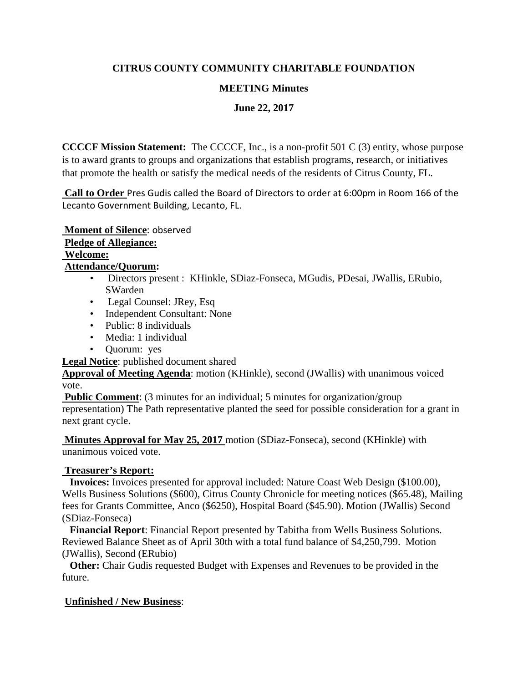# **CITRUS COUNTY COMMUNITY CHARITABLE FOUNDATION**

## **MEETING Minutes**

**June 22, 2017**

**CCCCF Mission Statement:** The CCCCF, Inc., is a non-profit 501 C (3) entity, whose purpose is to award grants to groups and organizations that establish programs, research, or initiatives that promote the health or satisfy the medical needs of the residents of Citrus County, FL.

**Call to Order** Pres Gudis called the Board of Directors to order at 6:00pm in Room 166 of the Lecanto Government Building, Lecanto, FL.

**Moment of Silence**: observed **Pledge of Allegiance:** 

**Welcome: Attendance/Quorum:** 

- Directors present : KHinkle, SDiaz-Fonseca, MGudis, PDesai, JWallis, ERubio, SWarden
- Legal Counsel: JRey, Esq
- Independent Consultant: None
- Public: 8 individuals
- Media: 1 individual
- Quorum: yes

**Legal Notice**: published document shared

**Approval of Meeting Agenda**: motion (KHinkle), second (JWallis) with unanimous voiced vote.

**Public Comment:** (3 minutes for an individual; 5 minutes for organization/group

representation) The Path representative planted the seed for possible consideration for a grant in next grant cycle.

**Minutes Approval for May 25, 2017** motion (SDiaz-Fonseca), second (KHinkle) with unanimous voiced vote.

# **Treasurer's Report:**

 **Invoices:** Invoices presented for approval included: Nature Coast Web Design (\$100.00), Wells Business Solutions (\$600), Citrus County Chronicle for meeting notices (\$65.48), Mailing fees for Grants Committee, Anco (\$6250), Hospital Board (\$45.90). Motion (JWallis) Second (SDiaz-Fonseca)

 **Financial Report**: Financial Report presented by Tabitha from Wells Business Solutions. Reviewed Balance Sheet as of April 30th with a total fund balance of \$4,250,799. Motion (JWallis), Second (ERubio)

**Other:** Chair Gudis requested Budget with Expenses and Revenues to be provided in the future.

# **Unfinished / New Business**: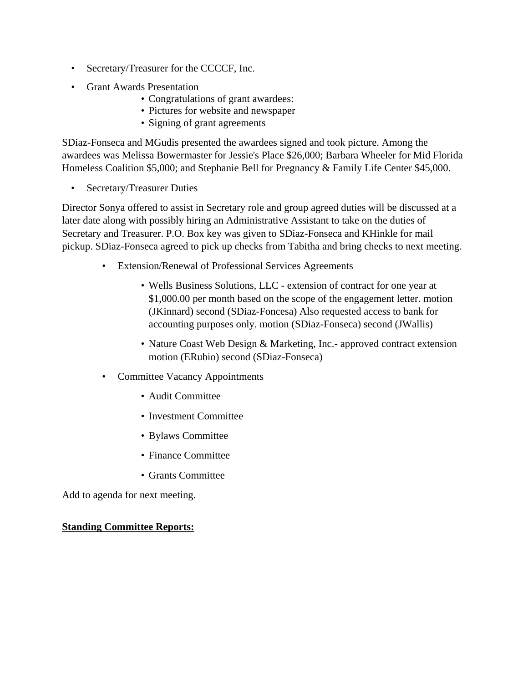- Secretary/Treasurer for the CCCCF, Inc.
- Grant Awards Presentation
	- Congratulations of grant awardees:
	- Pictures for website and newspaper
	- Signing of grant agreements

SDiaz-Fonseca and MGudis presented the awardees signed and took picture. Among the awardees was Melissa Bowermaster for Jessie's Place \$26,000; Barbara Wheeler for Mid Florida Homeless Coalition \$5,000; and Stephanie Bell for Pregnancy & Family Life Center \$45,000.

• Secretary/Treasurer Duties

Director Sonya offered to assist in Secretary role and group agreed duties will be discussed at a later date along with possibly hiring an Administrative Assistant to take on the duties of Secretary and Treasurer. P.O. Box key was given to SDiaz-Fonseca and KHinkle for mail pickup. SDiaz-Fonseca agreed to pick up checks from Tabitha and bring checks to next meeting.

- Extension/Renewal of Professional Services Agreements
	- Wells Business Solutions, LLC extension of contract for one year at \$1,000.00 per month based on the scope of the engagement letter. motion (JKinnard) second (SDiaz-Foncesa) Also requested access to bank for accounting purposes only. motion (SDiaz-Fonseca) second (JWallis)
	- Nature Coast Web Design & Marketing, Inc.- approved contract extension motion (ERubio) second (SDiaz-Fonseca)
- Committee Vacancy Appointments
	- Audit Committee
	- Investment Committee
	- Bylaws Committee
	- Finance Committee
	- Grants Committee

Add to agenda for next meeting.

#### **Standing Committee Reports:**